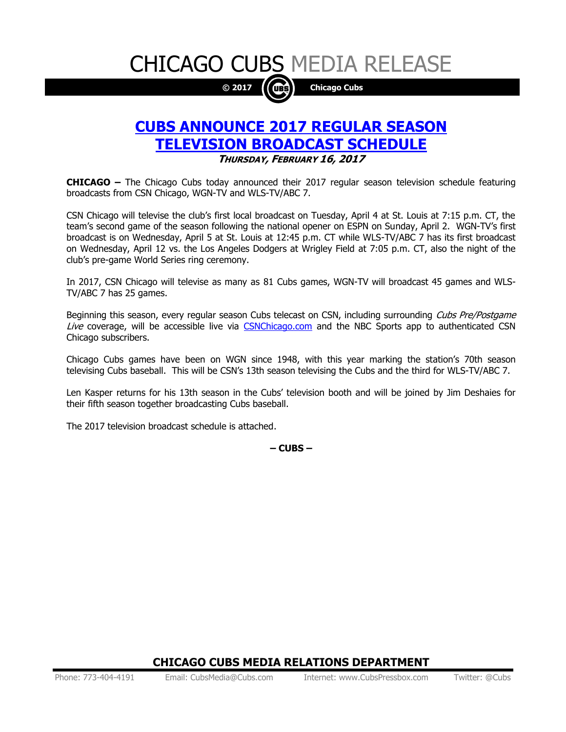CHICAGO CUBS MEDIA RELEASE



## **CUBS ANNOUNCE 2017 REGULAR SEASON TELEVISION BROADCAST SCHEDULE THURSDAY, FEBRUARY 16, 2017**

**CHICAGO –** The Chicago Cubs today announced their 2017 regular season television schedule featuring broadcasts from CSN Chicago, WGN-TV and WLS-TV/ABC 7.

CSN Chicago will televise the club's first local broadcast on Tuesday, April 4 at St. Louis at 7:15 p.m. CT, the team's second game of the season following the national opener on ESPN on Sunday, April 2. WGN-TV's first broadcast is on Wednesday, April 5 at St. Louis at 12:45 p.m. CT while WLS-TV/ABC 7 has its first broadcast on Wednesday, April 12 vs. the Los Angeles Dodgers at Wrigley Field at 7:05 p.m. CT, also the night of the club's pre-game World Series ring ceremony.

In 2017, CSN Chicago will televise as many as 81 Cubs games, WGN-TV will broadcast 45 games and WLS-TV/ABC 7 has 25 games.

Beginning this season, every regular season Cubs telecast on CSN, including surrounding Cubs Pre/Postgame Live coverage, will be accessible live via [CSNChicago.com](http://csnchicago.com/) and the NBC Sports app to authenticated CSN Chicago subscribers.

Chicago Cubs games have been on WGN since 1948, with this year marking the station's 70th season televising Cubs baseball. This will be CSN's 13th season televising the Cubs and the third for WLS-TV/ABC 7.

Len Kasper returns for his 13th season in the Cubs' television booth and will be joined by Jim Deshaies for their fifth season together broadcasting Cubs baseball.

The 2017 television broadcast schedule is attached.

**– CUBS –**

### **CHICAGO CUBS MEDIA RELATIONS DEPARTMENT**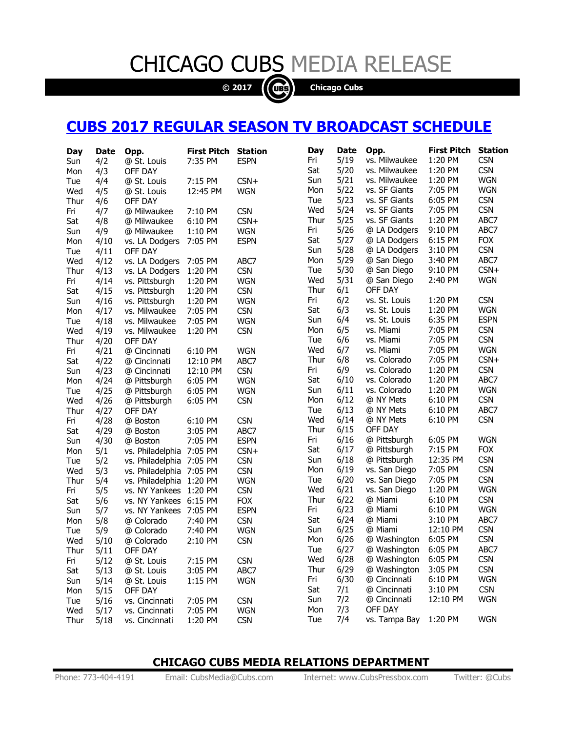# CHICAGO CUBS MEDIA RELEASE

**© 2017 Chicago Cubs**

## **CUBS 2017 REGULAR SEASON TV BROADCAST SCHEDULE**

| 5/19<br>1:20 PM<br><b>CSN</b><br>Fri<br>vs. Milwaukee<br>7:35 PM<br><b>ESPN</b><br>4/2<br>@ St. Louis<br>Sun<br><b>CSN</b><br>5/20<br>1:20 PM<br>Sat<br>vs. Milwaukee<br>4/3<br>OFF DAY<br>Mon<br>5/21<br><b>WGN</b><br>Sun<br>vs. Milwaukee<br>1:20 PM<br>$CSN+$<br>4/4<br>@ St. Louis<br>7:15 PM<br>Tue<br><b>WGN</b><br>5/22<br>vs. SF Giants<br>7:05 PM<br>Mon<br><b>WGN</b><br>Wed<br>4/5<br>@ St. Louis<br>12:45 PM<br>5/23<br><b>CSN</b><br>vs. SF Giants<br>6:05 PM<br>Tue<br>Thur<br>OFF DAY<br>4/6<br><b>CSN</b><br>5/24<br>7:05 PM<br>Wed<br>vs. SF Giants<br><b>CSN</b><br>Fri<br>@ Milwaukee<br>7:10 PM<br>4/7<br>5/25<br>ABC7<br>Thur<br>vs. SF Giants<br>1:20 PM<br>$CSN+$<br>Sat<br>4/8<br>6:10 PM<br>@ Milwaukee<br>5/26<br>ABC7<br>@ LA Dodgers<br>9:10 PM<br>Fri<br><b>WGN</b><br>4/9<br>@ Milwaukee<br>1:10 PM<br>Sun<br><b>FOX</b><br>Sat<br>5/27<br>6:15 PM<br>@ LA Dodgers<br><b>ESPN</b><br>4/10<br>vs. LA Dodgers<br>7:05 PM<br>Mon<br><b>CSN</b><br>5/28<br>Sun<br>@ LA Dodgers<br>3:10 PM<br>4/11<br>OFF DAY<br>Tue<br>5/29<br>ABC7<br>3:40 PM<br>Mon<br>@ San Diego<br>Wed<br>4/12<br>vs. LA Dodgers<br>7:05 PM<br>ABC7<br>$CSN+$<br>5/30<br>@ San Diego<br>9:10 PM<br><b>CSN</b><br>Tue<br>1:20 PM<br>Thur<br>4/13<br>vs. LA Dodgers<br><b>WGN</b><br>Wed<br>5/31<br>2:40 PM<br>@ San Diego<br>1:20 PM<br><b>WGN</b><br>Fri<br>4/14<br>vs. Pittsburgh<br>6/1<br>OFF DAY<br>Thur<br><b>CSN</b><br>Sat<br>4/15<br>vs. Pittsburgh<br>1:20 PM<br><b>CSN</b><br>6/2<br>vs. St. Louis<br>1:20 PM<br>Fri<br>Sun<br>4/16<br>vs. Pittsburgh<br>1:20 PM<br><b>WGN</b><br>6/3<br><b>WGN</b><br>Sat<br>vs. St. Louis<br>1:20 PM<br><b>CSN</b><br>4/17<br>7:05 PM<br>Mon<br>vs. Milwaukee<br><b>ESPN</b><br>6/4<br>vs. St. Louis<br>6:35 PM<br>Sun<br><b>WGN</b><br>4/18<br>7:05 PM<br>Tue<br>vs. Milwaukee<br><b>CSN</b><br>6/5<br>vs. Miami<br>7:05 PM<br>Mon<br><b>CSN</b><br>Wed<br>4/19<br>vs. Milwaukee<br>1:20 PM<br><b>CSN</b><br>6/6<br>vs. Miami<br>7:05 PM<br>Tue<br>Thur<br>4/20<br>OFF DAY<br><b>WGN</b><br>Wed<br>6/7<br>7:05 PM<br>vs. Miami<br>4/21<br>@ Cincinnati<br>6:10 PM<br><b>WGN</b><br>Fri<br>6/8<br>7:05 PM<br>$CSN+$<br>Thur<br>vs. Colorado<br>ABC7<br>Sat<br>4/22<br>12:10 PM<br>@ Cincinnati<br>6/9<br><b>CSN</b><br>Fri<br>vs. Colorado<br>1:20 PM<br><b>CSN</b><br>4/23<br>12:10 PM<br>Sun<br>@ Cincinnati<br>ABC7<br>Sat<br>6/10<br>vs. Colorado<br>1:20 PM<br>4/24<br>@ Pittsburgh<br>6:05 PM<br><b>WGN</b><br>Mon<br>6/11<br>vs. Colorado<br>1:20 PM<br><b>WGN</b><br>Sun<br>Tue<br>4/25<br>@ Pittsburgh<br>6:05 PM<br><b>WGN</b><br><b>CSN</b><br>6/12<br>6:10 PM<br>Mon<br>@ NY Mets<br><b>CSN</b><br>Wed<br>4/26<br>6:05 PM<br>@ Pittsburgh<br>6/13<br>ABC7<br>6:10 PM<br>Tue<br>@ NY Mets<br>Thur<br>4/27<br>OFF DAY<br><b>CSN</b><br>Wed<br>6/14<br>6:10 PM<br>@ NY Mets<br><b>CSN</b><br>4/28<br>Fri<br>@ Boston<br>6:10 PM<br>Thur<br>6/15<br>OFF DAY<br>4/29<br>3:05 PM<br>ABC7<br>Sat<br>@ Boston<br><b>WGN</b><br>6/16<br>@ Pittsburgh<br>6:05 PM<br>Fri<br>4/30<br><b>ESPN</b><br>7:05 PM<br>Sun<br>@ Boston<br><b>FOX</b><br>Sat<br>6/17<br>7:15 PM<br>@ Pittsburgh<br>5/1<br>7:05 PM<br>$CSN+$<br>Mon<br>vs. Philadelphia<br><b>CSN</b><br>6/18<br>12:35 PM<br>Sun<br>@ Pittsburgh<br><b>CSN</b><br>7:05 PM<br>Tue<br>5/2<br>vs. Philadelphia<br><b>CSN</b><br>6/19<br>7:05 PM<br>vs. San Diego<br>Mon<br><b>CSN</b><br>Wed<br>5/3<br>7:05 PM<br>vs. Philadelphia<br><b>CSN</b><br>6/20<br>vs. San Diego<br>7:05 PM<br>Tue<br>5/4<br>vs. Philadelphia<br>1:20 PM<br><b>WGN</b><br>Thur<br><b>WGN</b><br>6/21<br>vs. San Diego<br>1:20 PM<br>Wed<br><b>CSN</b><br>Fri<br>5/5<br>vs. NY Yankees<br>1:20 PM<br><b>CSN</b><br>6/22<br>6:10 PM<br>Thur<br>@ Miami<br><b>FOX</b><br>Sat<br>5/6<br>vs. NY Yankees<br>6:15 PM<br>6/23<br><b>WGN</b><br>6:10 PM<br>Fri<br>@ Miami<br><b>ESPN</b><br>5/7<br>vs. NY Yankees<br>7:05 PM<br>Sun<br>ABC7<br>Sat<br>6/24<br>@ Miami<br>3:10 PM<br><b>CSN</b><br>5/8<br>@ Colorado<br>7:40 PM<br>Mon<br><b>CSN</b><br>6/25<br>@ Miami<br>12:10 PM<br>Sun<br>5/9<br>@ Colorado<br>7:40 PM<br><b>WGN</b><br>Tue<br>6/26<br><b>CSN</b><br>6:05 PM<br>Mon<br>@ Washington<br><b>CSN</b><br>Wed<br>5/10<br>@ Colorado<br>2:10 PM<br>ABC7<br>6/27<br>6:05 PM<br>Tue<br>@ Washington<br>OFF DAY<br>Thur<br>5/11<br>6/28<br><b>CSN</b><br>Wed<br>@ Washington<br>6:05 PM<br>7:15 PM<br><b>CSN</b><br>Fri<br>5/12<br>@ St. Louis<br>Thur<br>6/29<br>3:05 PM<br><b>CSN</b><br>@ Washington<br>Sat<br>5/13<br>@ St. Louis<br>3:05 PM<br>ABC7<br><b>WGN</b><br>Fri<br>6/30<br>@ Cincinnati<br>6:10 PM<br>5/14<br>1:15 PM<br>@ St. Louis<br><b>WGN</b><br>Sun<br><b>CSN</b><br>Sat<br>@ Cincinnati<br>3:10 PM<br>7/1<br>5/15<br>OFF DAY<br>Mon<br><b>WGN</b><br>Sun<br>@ Cincinnati<br>12:10 PM<br>7/2<br><b>CSN</b><br>5/16<br>vs. Cincinnati<br>7:05 PM<br>Tue<br>Mon<br>7/3<br>OFF DAY<br>7:05 PM<br><b>WGN</b><br>Wed<br>5/17<br>vs. Cincinnati<br>1:20 PM<br><b>WGN</b><br>7/4<br>vs. Tampa Bay<br>Tue<br>1:20 PM<br><b>CSN</b><br>Thur<br>5/18<br>vs. Cincinnati | Day | Date | Opp. | <b>First Pitch</b> | <b>Station</b> | Day | <b>Date</b> | Opp. | <b>First Pitch</b> | <b>Station</b> |
|-----------------------------------------------------------------------------------------------------------------------------------------------------------------------------------------------------------------------------------------------------------------------------------------------------------------------------------------------------------------------------------------------------------------------------------------------------------------------------------------------------------------------------------------------------------------------------------------------------------------------------------------------------------------------------------------------------------------------------------------------------------------------------------------------------------------------------------------------------------------------------------------------------------------------------------------------------------------------------------------------------------------------------------------------------------------------------------------------------------------------------------------------------------------------------------------------------------------------------------------------------------------------------------------------------------------------------------------------------------------------------------------------------------------------------------------------------------------------------------------------------------------------------------------------------------------------------------------------------------------------------------------------------------------------------------------------------------------------------------------------------------------------------------------------------------------------------------------------------------------------------------------------------------------------------------------------------------------------------------------------------------------------------------------------------------------------------------------------------------------------------------------------------------------------------------------------------------------------------------------------------------------------------------------------------------------------------------------------------------------------------------------------------------------------------------------------------------------------------------------------------------------------------------------------------------------------------------------------------------------------------------------------------------------------------------------------------------------------------------------------------------------------------------------------------------------------------------------------------------------------------------------------------------------------------------------------------------------------------------------------------------------------------------------------------------------------------------------------------------------------------------------------------------------------------------------------------------------------------------------------------------------------------------------------------------------------------------------------------------------------------------------------------------------------------------------------------------------------------------------------------------------------------------------------------------------------------------------------------------------------------------------------------------------------------------------------------------------------------------------------------------------------------------------------------------------------------------------------------------------------------------------------------------------------------------------------------------------------------------------------------------------------------------------------------------------------------------------------------------------------------------------------------------------------------------------------------------------------------------------------------------------------------------------------------------------------------------------------------------------------------------------------------------------------------------------------------------------------------------------------------------------------------------------------------------------------------------------------------------------------------------------------------------------------------------------------------------------------------------------------------------------------------------------------------------------------------------------------------------------------------------------------------------------------------------------------------------------------------------------------------------------------------------------------------------|-----|------|------|--------------------|----------------|-----|-------------|------|--------------------|----------------|
|                                                                                                                                                                                                                                                                                                                                                                                                                                                                                                                                                                                                                                                                                                                                                                                                                                                                                                                                                                                                                                                                                                                                                                                                                                                                                                                                                                                                                                                                                                                                                                                                                                                                                                                                                                                                                                                                                                                                                                                                                                                                                                                                                                                                                                                                                                                                                                                                                                                                                                                                                                                                                                                                                                                                                                                                                                                                                                                                                                                                                                                                                                                                                                                                                                                                                                                                                                                                                                                                                                                                                                                                                                                                                                                                                                                                                                                                                                                                                                                                                                                                                                                                                                                                                                                                                                                                                                                                                                                                                                                                                                                                                                                                                                                                                                                                                                                                                                                                                                                                                                                           |     |      |      |                    |                |     |             |      |                    |                |
|                                                                                                                                                                                                                                                                                                                                                                                                                                                                                                                                                                                                                                                                                                                                                                                                                                                                                                                                                                                                                                                                                                                                                                                                                                                                                                                                                                                                                                                                                                                                                                                                                                                                                                                                                                                                                                                                                                                                                                                                                                                                                                                                                                                                                                                                                                                                                                                                                                                                                                                                                                                                                                                                                                                                                                                                                                                                                                                                                                                                                                                                                                                                                                                                                                                                                                                                                                                                                                                                                                                                                                                                                                                                                                                                                                                                                                                                                                                                                                                                                                                                                                                                                                                                                                                                                                                                                                                                                                                                                                                                                                                                                                                                                                                                                                                                                                                                                                                                                                                                                                                           |     |      |      |                    |                |     |             |      |                    |                |
|                                                                                                                                                                                                                                                                                                                                                                                                                                                                                                                                                                                                                                                                                                                                                                                                                                                                                                                                                                                                                                                                                                                                                                                                                                                                                                                                                                                                                                                                                                                                                                                                                                                                                                                                                                                                                                                                                                                                                                                                                                                                                                                                                                                                                                                                                                                                                                                                                                                                                                                                                                                                                                                                                                                                                                                                                                                                                                                                                                                                                                                                                                                                                                                                                                                                                                                                                                                                                                                                                                                                                                                                                                                                                                                                                                                                                                                                                                                                                                                                                                                                                                                                                                                                                                                                                                                                                                                                                                                                                                                                                                                                                                                                                                                                                                                                                                                                                                                                                                                                                                                           |     |      |      |                    |                |     |             |      |                    |                |
|                                                                                                                                                                                                                                                                                                                                                                                                                                                                                                                                                                                                                                                                                                                                                                                                                                                                                                                                                                                                                                                                                                                                                                                                                                                                                                                                                                                                                                                                                                                                                                                                                                                                                                                                                                                                                                                                                                                                                                                                                                                                                                                                                                                                                                                                                                                                                                                                                                                                                                                                                                                                                                                                                                                                                                                                                                                                                                                                                                                                                                                                                                                                                                                                                                                                                                                                                                                                                                                                                                                                                                                                                                                                                                                                                                                                                                                                                                                                                                                                                                                                                                                                                                                                                                                                                                                                                                                                                                                                                                                                                                                                                                                                                                                                                                                                                                                                                                                                                                                                                                                           |     |      |      |                    |                |     |             |      |                    |                |
|                                                                                                                                                                                                                                                                                                                                                                                                                                                                                                                                                                                                                                                                                                                                                                                                                                                                                                                                                                                                                                                                                                                                                                                                                                                                                                                                                                                                                                                                                                                                                                                                                                                                                                                                                                                                                                                                                                                                                                                                                                                                                                                                                                                                                                                                                                                                                                                                                                                                                                                                                                                                                                                                                                                                                                                                                                                                                                                                                                                                                                                                                                                                                                                                                                                                                                                                                                                                                                                                                                                                                                                                                                                                                                                                                                                                                                                                                                                                                                                                                                                                                                                                                                                                                                                                                                                                                                                                                                                                                                                                                                                                                                                                                                                                                                                                                                                                                                                                                                                                                                                           |     |      |      |                    |                |     |             |      |                    |                |
|                                                                                                                                                                                                                                                                                                                                                                                                                                                                                                                                                                                                                                                                                                                                                                                                                                                                                                                                                                                                                                                                                                                                                                                                                                                                                                                                                                                                                                                                                                                                                                                                                                                                                                                                                                                                                                                                                                                                                                                                                                                                                                                                                                                                                                                                                                                                                                                                                                                                                                                                                                                                                                                                                                                                                                                                                                                                                                                                                                                                                                                                                                                                                                                                                                                                                                                                                                                                                                                                                                                                                                                                                                                                                                                                                                                                                                                                                                                                                                                                                                                                                                                                                                                                                                                                                                                                                                                                                                                                                                                                                                                                                                                                                                                                                                                                                                                                                                                                                                                                                                                           |     |      |      |                    |                |     |             |      |                    |                |
|                                                                                                                                                                                                                                                                                                                                                                                                                                                                                                                                                                                                                                                                                                                                                                                                                                                                                                                                                                                                                                                                                                                                                                                                                                                                                                                                                                                                                                                                                                                                                                                                                                                                                                                                                                                                                                                                                                                                                                                                                                                                                                                                                                                                                                                                                                                                                                                                                                                                                                                                                                                                                                                                                                                                                                                                                                                                                                                                                                                                                                                                                                                                                                                                                                                                                                                                                                                                                                                                                                                                                                                                                                                                                                                                                                                                                                                                                                                                                                                                                                                                                                                                                                                                                                                                                                                                                                                                                                                                                                                                                                                                                                                                                                                                                                                                                                                                                                                                                                                                                                                           |     |      |      |                    |                |     |             |      |                    |                |
|                                                                                                                                                                                                                                                                                                                                                                                                                                                                                                                                                                                                                                                                                                                                                                                                                                                                                                                                                                                                                                                                                                                                                                                                                                                                                                                                                                                                                                                                                                                                                                                                                                                                                                                                                                                                                                                                                                                                                                                                                                                                                                                                                                                                                                                                                                                                                                                                                                                                                                                                                                                                                                                                                                                                                                                                                                                                                                                                                                                                                                                                                                                                                                                                                                                                                                                                                                                                                                                                                                                                                                                                                                                                                                                                                                                                                                                                                                                                                                                                                                                                                                                                                                                                                                                                                                                                                                                                                                                                                                                                                                                                                                                                                                                                                                                                                                                                                                                                                                                                                                                           |     |      |      |                    |                |     |             |      |                    |                |
|                                                                                                                                                                                                                                                                                                                                                                                                                                                                                                                                                                                                                                                                                                                                                                                                                                                                                                                                                                                                                                                                                                                                                                                                                                                                                                                                                                                                                                                                                                                                                                                                                                                                                                                                                                                                                                                                                                                                                                                                                                                                                                                                                                                                                                                                                                                                                                                                                                                                                                                                                                                                                                                                                                                                                                                                                                                                                                                                                                                                                                                                                                                                                                                                                                                                                                                                                                                                                                                                                                                                                                                                                                                                                                                                                                                                                                                                                                                                                                                                                                                                                                                                                                                                                                                                                                                                                                                                                                                                                                                                                                                                                                                                                                                                                                                                                                                                                                                                                                                                                                                           |     |      |      |                    |                |     |             |      |                    |                |
|                                                                                                                                                                                                                                                                                                                                                                                                                                                                                                                                                                                                                                                                                                                                                                                                                                                                                                                                                                                                                                                                                                                                                                                                                                                                                                                                                                                                                                                                                                                                                                                                                                                                                                                                                                                                                                                                                                                                                                                                                                                                                                                                                                                                                                                                                                                                                                                                                                                                                                                                                                                                                                                                                                                                                                                                                                                                                                                                                                                                                                                                                                                                                                                                                                                                                                                                                                                                                                                                                                                                                                                                                                                                                                                                                                                                                                                                                                                                                                                                                                                                                                                                                                                                                                                                                                                                                                                                                                                                                                                                                                                                                                                                                                                                                                                                                                                                                                                                                                                                                                                           |     |      |      |                    |                |     |             |      |                    |                |
|                                                                                                                                                                                                                                                                                                                                                                                                                                                                                                                                                                                                                                                                                                                                                                                                                                                                                                                                                                                                                                                                                                                                                                                                                                                                                                                                                                                                                                                                                                                                                                                                                                                                                                                                                                                                                                                                                                                                                                                                                                                                                                                                                                                                                                                                                                                                                                                                                                                                                                                                                                                                                                                                                                                                                                                                                                                                                                                                                                                                                                                                                                                                                                                                                                                                                                                                                                                                                                                                                                                                                                                                                                                                                                                                                                                                                                                                                                                                                                                                                                                                                                                                                                                                                                                                                                                                                                                                                                                                                                                                                                                                                                                                                                                                                                                                                                                                                                                                                                                                                                                           |     |      |      |                    |                |     |             |      |                    |                |
|                                                                                                                                                                                                                                                                                                                                                                                                                                                                                                                                                                                                                                                                                                                                                                                                                                                                                                                                                                                                                                                                                                                                                                                                                                                                                                                                                                                                                                                                                                                                                                                                                                                                                                                                                                                                                                                                                                                                                                                                                                                                                                                                                                                                                                                                                                                                                                                                                                                                                                                                                                                                                                                                                                                                                                                                                                                                                                                                                                                                                                                                                                                                                                                                                                                                                                                                                                                                                                                                                                                                                                                                                                                                                                                                                                                                                                                                                                                                                                                                                                                                                                                                                                                                                                                                                                                                                                                                                                                                                                                                                                                                                                                                                                                                                                                                                                                                                                                                                                                                                                                           |     |      |      |                    |                |     |             |      |                    |                |
|                                                                                                                                                                                                                                                                                                                                                                                                                                                                                                                                                                                                                                                                                                                                                                                                                                                                                                                                                                                                                                                                                                                                                                                                                                                                                                                                                                                                                                                                                                                                                                                                                                                                                                                                                                                                                                                                                                                                                                                                                                                                                                                                                                                                                                                                                                                                                                                                                                                                                                                                                                                                                                                                                                                                                                                                                                                                                                                                                                                                                                                                                                                                                                                                                                                                                                                                                                                                                                                                                                                                                                                                                                                                                                                                                                                                                                                                                                                                                                                                                                                                                                                                                                                                                                                                                                                                                                                                                                                                                                                                                                                                                                                                                                                                                                                                                                                                                                                                                                                                                                                           |     |      |      |                    |                |     |             |      |                    |                |
|                                                                                                                                                                                                                                                                                                                                                                                                                                                                                                                                                                                                                                                                                                                                                                                                                                                                                                                                                                                                                                                                                                                                                                                                                                                                                                                                                                                                                                                                                                                                                                                                                                                                                                                                                                                                                                                                                                                                                                                                                                                                                                                                                                                                                                                                                                                                                                                                                                                                                                                                                                                                                                                                                                                                                                                                                                                                                                                                                                                                                                                                                                                                                                                                                                                                                                                                                                                                                                                                                                                                                                                                                                                                                                                                                                                                                                                                                                                                                                                                                                                                                                                                                                                                                                                                                                                                                                                                                                                                                                                                                                                                                                                                                                                                                                                                                                                                                                                                                                                                                                                           |     |      |      |                    |                |     |             |      |                    |                |
|                                                                                                                                                                                                                                                                                                                                                                                                                                                                                                                                                                                                                                                                                                                                                                                                                                                                                                                                                                                                                                                                                                                                                                                                                                                                                                                                                                                                                                                                                                                                                                                                                                                                                                                                                                                                                                                                                                                                                                                                                                                                                                                                                                                                                                                                                                                                                                                                                                                                                                                                                                                                                                                                                                                                                                                                                                                                                                                                                                                                                                                                                                                                                                                                                                                                                                                                                                                                                                                                                                                                                                                                                                                                                                                                                                                                                                                                                                                                                                                                                                                                                                                                                                                                                                                                                                                                                                                                                                                                                                                                                                                                                                                                                                                                                                                                                                                                                                                                                                                                                                                           |     |      |      |                    |                |     |             |      |                    |                |
|                                                                                                                                                                                                                                                                                                                                                                                                                                                                                                                                                                                                                                                                                                                                                                                                                                                                                                                                                                                                                                                                                                                                                                                                                                                                                                                                                                                                                                                                                                                                                                                                                                                                                                                                                                                                                                                                                                                                                                                                                                                                                                                                                                                                                                                                                                                                                                                                                                                                                                                                                                                                                                                                                                                                                                                                                                                                                                                                                                                                                                                                                                                                                                                                                                                                                                                                                                                                                                                                                                                                                                                                                                                                                                                                                                                                                                                                                                                                                                                                                                                                                                                                                                                                                                                                                                                                                                                                                                                                                                                                                                                                                                                                                                                                                                                                                                                                                                                                                                                                                                                           |     |      |      |                    |                |     |             |      |                    |                |
|                                                                                                                                                                                                                                                                                                                                                                                                                                                                                                                                                                                                                                                                                                                                                                                                                                                                                                                                                                                                                                                                                                                                                                                                                                                                                                                                                                                                                                                                                                                                                                                                                                                                                                                                                                                                                                                                                                                                                                                                                                                                                                                                                                                                                                                                                                                                                                                                                                                                                                                                                                                                                                                                                                                                                                                                                                                                                                                                                                                                                                                                                                                                                                                                                                                                                                                                                                                                                                                                                                                                                                                                                                                                                                                                                                                                                                                                                                                                                                                                                                                                                                                                                                                                                                                                                                                                                                                                                                                                                                                                                                                                                                                                                                                                                                                                                                                                                                                                                                                                                                                           |     |      |      |                    |                |     |             |      |                    |                |
|                                                                                                                                                                                                                                                                                                                                                                                                                                                                                                                                                                                                                                                                                                                                                                                                                                                                                                                                                                                                                                                                                                                                                                                                                                                                                                                                                                                                                                                                                                                                                                                                                                                                                                                                                                                                                                                                                                                                                                                                                                                                                                                                                                                                                                                                                                                                                                                                                                                                                                                                                                                                                                                                                                                                                                                                                                                                                                                                                                                                                                                                                                                                                                                                                                                                                                                                                                                                                                                                                                                                                                                                                                                                                                                                                                                                                                                                                                                                                                                                                                                                                                                                                                                                                                                                                                                                                                                                                                                                                                                                                                                                                                                                                                                                                                                                                                                                                                                                                                                                                                                           |     |      |      |                    |                |     |             |      |                    |                |
|                                                                                                                                                                                                                                                                                                                                                                                                                                                                                                                                                                                                                                                                                                                                                                                                                                                                                                                                                                                                                                                                                                                                                                                                                                                                                                                                                                                                                                                                                                                                                                                                                                                                                                                                                                                                                                                                                                                                                                                                                                                                                                                                                                                                                                                                                                                                                                                                                                                                                                                                                                                                                                                                                                                                                                                                                                                                                                                                                                                                                                                                                                                                                                                                                                                                                                                                                                                                                                                                                                                                                                                                                                                                                                                                                                                                                                                                                                                                                                                                                                                                                                                                                                                                                                                                                                                                                                                                                                                                                                                                                                                                                                                                                                                                                                                                                                                                                                                                                                                                                                                           |     |      |      |                    |                |     |             |      |                    |                |
|                                                                                                                                                                                                                                                                                                                                                                                                                                                                                                                                                                                                                                                                                                                                                                                                                                                                                                                                                                                                                                                                                                                                                                                                                                                                                                                                                                                                                                                                                                                                                                                                                                                                                                                                                                                                                                                                                                                                                                                                                                                                                                                                                                                                                                                                                                                                                                                                                                                                                                                                                                                                                                                                                                                                                                                                                                                                                                                                                                                                                                                                                                                                                                                                                                                                                                                                                                                                                                                                                                                                                                                                                                                                                                                                                                                                                                                                                                                                                                                                                                                                                                                                                                                                                                                                                                                                                                                                                                                                                                                                                                                                                                                                                                                                                                                                                                                                                                                                                                                                                                                           |     |      |      |                    |                |     |             |      |                    |                |
|                                                                                                                                                                                                                                                                                                                                                                                                                                                                                                                                                                                                                                                                                                                                                                                                                                                                                                                                                                                                                                                                                                                                                                                                                                                                                                                                                                                                                                                                                                                                                                                                                                                                                                                                                                                                                                                                                                                                                                                                                                                                                                                                                                                                                                                                                                                                                                                                                                                                                                                                                                                                                                                                                                                                                                                                                                                                                                                                                                                                                                                                                                                                                                                                                                                                                                                                                                                                                                                                                                                                                                                                                                                                                                                                                                                                                                                                                                                                                                                                                                                                                                                                                                                                                                                                                                                                                                                                                                                                                                                                                                                                                                                                                                                                                                                                                                                                                                                                                                                                                                                           |     |      |      |                    |                |     |             |      |                    |                |
|                                                                                                                                                                                                                                                                                                                                                                                                                                                                                                                                                                                                                                                                                                                                                                                                                                                                                                                                                                                                                                                                                                                                                                                                                                                                                                                                                                                                                                                                                                                                                                                                                                                                                                                                                                                                                                                                                                                                                                                                                                                                                                                                                                                                                                                                                                                                                                                                                                                                                                                                                                                                                                                                                                                                                                                                                                                                                                                                                                                                                                                                                                                                                                                                                                                                                                                                                                                                                                                                                                                                                                                                                                                                                                                                                                                                                                                                                                                                                                                                                                                                                                                                                                                                                                                                                                                                                                                                                                                                                                                                                                                                                                                                                                                                                                                                                                                                                                                                                                                                                                                           |     |      |      |                    |                |     |             |      |                    |                |
|                                                                                                                                                                                                                                                                                                                                                                                                                                                                                                                                                                                                                                                                                                                                                                                                                                                                                                                                                                                                                                                                                                                                                                                                                                                                                                                                                                                                                                                                                                                                                                                                                                                                                                                                                                                                                                                                                                                                                                                                                                                                                                                                                                                                                                                                                                                                                                                                                                                                                                                                                                                                                                                                                                                                                                                                                                                                                                                                                                                                                                                                                                                                                                                                                                                                                                                                                                                                                                                                                                                                                                                                                                                                                                                                                                                                                                                                                                                                                                                                                                                                                                                                                                                                                                                                                                                                                                                                                                                                                                                                                                                                                                                                                                                                                                                                                                                                                                                                                                                                                                                           |     |      |      |                    |                |     |             |      |                    |                |
|                                                                                                                                                                                                                                                                                                                                                                                                                                                                                                                                                                                                                                                                                                                                                                                                                                                                                                                                                                                                                                                                                                                                                                                                                                                                                                                                                                                                                                                                                                                                                                                                                                                                                                                                                                                                                                                                                                                                                                                                                                                                                                                                                                                                                                                                                                                                                                                                                                                                                                                                                                                                                                                                                                                                                                                                                                                                                                                                                                                                                                                                                                                                                                                                                                                                                                                                                                                                                                                                                                                                                                                                                                                                                                                                                                                                                                                                                                                                                                                                                                                                                                                                                                                                                                                                                                                                                                                                                                                                                                                                                                                                                                                                                                                                                                                                                                                                                                                                                                                                                                                           |     |      |      |                    |                |     |             |      |                    |                |
|                                                                                                                                                                                                                                                                                                                                                                                                                                                                                                                                                                                                                                                                                                                                                                                                                                                                                                                                                                                                                                                                                                                                                                                                                                                                                                                                                                                                                                                                                                                                                                                                                                                                                                                                                                                                                                                                                                                                                                                                                                                                                                                                                                                                                                                                                                                                                                                                                                                                                                                                                                                                                                                                                                                                                                                                                                                                                                                                                                                                                                                                                                                                                                                                                                                                                                                                                                                                                                                                                                                                                                                                                                                                                                                                                                                                                                                                                                                                                                                                                                                                                                                                                                                                                                                                                                                                                                                                                                                                                                                                                                                                                                                                                                                                                                                                                                                                                                                                                                                                                                                           |     |      |      |                    |                |     |             |      |                    |                |
|                                                                                                                                                                                                                                                                                                                                                                                                                                                                                                                                                                                                                                                                                                                                                                                                                                                                                                                                                                                                                                                                                                                                                                                                                                                                                                                                                                                                                                                                                                                                                                                                                                                                                                                                                                                                                                                                                                                                                                                                                                                                                                                                                                                                                                                                                                                                                                                                                                                                                                                                                                                                                                                                                                                                                                                                                                                                                                                                                                                                                                                                                                                                                                                                                                                                                                                                                                                                                                                                                                                                                                                                                                                                                                                                                                                                                                                                                                                                                                                                                                                                                                                                                                                                                                                                                                                                                                                                                                                                                                                                                                                                                                                                                                                                                                                                                                                                                                                                                                                                                                                           |     |      |      |                    |                |     |             |      |                    |                |
|                                                                                                                                                                                                                                                                                                                                                                                                                                                                                                                                                                                                                                                                                                                                                                                                                                                                                                                                                                                                                                                                                                                                                                                                                                                                                                                                                                                                                                                                                                                                                                                                                                                                                                                                                                                                                                                                                                                                                                                                                                                                                                                                                                                                                                                                                                                                                                                                                                                                                                                                                                                                                                                                                                                                                                                                                                                                                                                                                                                                                                                                                                                                                                                                                                                                                                                                                                                                                                                                                                                                                                                                                                                                                                                                                                                                                                                                                                                                                                                                                                                                                                                                                                                                                                                                                                                                                                                                                                                                                                                                                                                                                                                                                                                                                                                                                                                                                                                                                                                                                                                           |     |      |      |                    |                |     |             |      |                    |                |
|                                                                                                                                                                                                                                                                                                                                                                                                                                                                                                                                                                                                                                                                                                                                                                                                                                                                                                                                                                                                                                                                                                                                                                                                                                                                                                                                                                                                                                                                                                                                                                                                                                                                                                                                                                                                                                                                                                                                                                                                                                                                                                                                                                                                                                                                                                                                                                                                                                                                                                                                                                                                                                                                                                                                                                                                                                                                                                                                                                                                                                                                                                                                                                                                                                                                                                                                                                                                                                                                                                                                                                                                                                                                                                                                                                                                                                                                                                                                                                                                                                                                                                                                                                                                                                                                                                                                                                                                                                                                                                                                                                                                                                                                                                                                                                                                                                                                                                                                                                                                                                                           |     |      |      |                    |                |     |             |      |                    |                |
|                                                                                                                                                                                                                                                                                                                                                                                                                                                                                                                                                                                                                                                                                                                                                                                                                                                                                                                                                                                                                                                                                                                                                                                                                                                                                                                                                                                                                                                                                                                                                                                                                                                                                                                                                                                                                                                                                                                                                                                                                                                                                                                                                                                                                                                                                                                                                                                                                                                                                                                                                                                                                                                                                                                                                                                                                                                                                                                                                                                                                                                                                                                                                                                                                                                                                                                                                                                                                                                                                                                                                                                                                                                                                                                                                                                                                                                                                                                                                                                                                                                                                                                                                                                                                                                                                                                                                                                                                                                                                                                                                                                                                                                                                                                                                                                                                                                                                                                                                                                                                                                           |     |      |      |                    |                |     |             |      |                    |                |
|                                                                                                                                                                                                                                                                                                                                                                                                                                                                                                                                                                                                                                                                                                                                                                                                                                                                                                                                                                                                                                                                                                                                                                                                                                                                                                                                                                                                                                                                                                                                                                                                                                                                                                                                                                                                                                                                                                                                                                                                                                                                                                                                                                                                                                                                                                                                                                                                                                                                                                                                                                                                                                                                                                                                                                                                                                                                                                                                                                                                                                                                                                                                                                                                                                                                                                                                                                                                                                                                                                                                                                                                                                                                                                                                                                                                                                                                                                                                                                                                                                                                                                                                                                                                                                                                                                                                                                                                                                                                                                                                                                                                                                                                                                                                                                                                                                                                                                                                                                                                                                                           |     |      |      |                    |                |     |             |      |                    |                |
|                                                                                                                                                                                                                                                                                                                                                                                                                                                                                                                                                                                                                                                                                                                                                                                                                                                                                                                                                                                                                                                                                                                                                                                                                                                                                                                                                                                                                                                                                                                                                                                                                                                                                                                                                                                                                                                                                                                                                                                                                                                                                                                                                                                                                                                                                                                                                                                                                                                                                                                                                                                                                                                                                                                                                                                                                                                                                                                                                                                                                                                                                                                                                                                                                                                                                                                                                                                                                                                                                                                                                                                                                                                                                                                                                                                                                                                                                                                                                                                                                                                                                                                                                                                                                                                                                                                                                                                                                                                                                                                                                                                                                                                                                                                                                                                                                                                                                                                                                                                                                                                           |     |      |      |                    |                |     |             |      |                    |                |
|                                                                                                                                                                                                                                                                                                                                                                                                                                                                                                                                                                                                                                                                                                                                                                                                                                                                                                                                                                                                                                                                                                                                                                                                                                                                                                                                                                                                                                                                                                                                                                                                                                                                                                                                                                                                                                                                                                                                                                                                                                                                                                                                                                                                                                                                                                                                                                                                                                                                                                                                                                                                                                                                                                                                                                                                                                                                                                                                                                                                                                                                                                                                                                                                                                                                                                                                                                                                                                                                                                                                                                                                                                                                                                                                                                                                                                                                                                                                                                                                                                                                                                                                                                                                                                                                                                                                                                                                                                                                                                                                                                                                                                                                                                                                                                                                                                                                                                                                                                                                                                                           |     |      |      |                    |                |     |             |      |                    |                |
|                                                                                                                                                                                                                                                                                                                                                                                                                                                                                                                                                                                                                                                                                                                                                                                                                                                                                                                                                                                                                                                                                                                                                                                                                                                                                                                                                                                                                                                                                                                                                                                                                                                                                                                                                                                                                                                                                                                                                                                                                                                                                                                                                                                                                                                                                                                                                                                                                                                                                                                                                                                                                                                                                                                                                                                                                                                                                                                                                                                                                                                                                                                                                                                                                                                                                                                                                                                                                                                                                                                                                                                                                                                                                                                                                                                                                                                                                                                                                                                                                                                                                                                                                                                                                                                                                                                                                                                                                                                                                                                                                                                                                                                                                                                                                                                                                                                                                                                                                                                                                                                           |     |      |      |                    |                |     |             |      |                    |                |
|                                                                                                                                                                                                                                                                                                                                                                                                                                                                                                                                                                                                                                                                                                                                                                                                                                                                                                                                                                                                                                                                                                                                                                                                                                                                                                                                                                                                                                                                                                                                                                                                                                                                                                                                                                                                                                                                                                                                                                                                                                                                                                                                                                                                                                                                                                                                                                                                                                                                                                                                                                                                                                                                                                                                                                                                                                                                                                                                                                                                                                                                                                                                                                                                                                                                                                                                                                                                                                                                                                                                                                                                                                                                                                                                                                                                                                                                                                                                                                                                                                                                                                                                                                                                                                                                                                                                                                                                                                                                                                                                                                                                                                                                                                                                                                                                                                                                                                                                                                                                                                                           |     |      |      |                    |                |     |             |      |                    |                |
|                                                                                                                                                                                                                                                                                                                                                                                                                                                                                                                                                                                                                                                                                                                                                                                                                                                                                                                                                                                                                                                                                                                                                                                                                                                                                                                                                                                                                                                                                                                                                                                                                                                                                                                                                                                                                                                                                                                                                                                                                                                                                                                                                                                                                                                                                                                                                                                                                                                                                                                                                                                                                                                                                                                                                                                                                                                                                                                                                                                                                                                                                                                                                                                                                                                                                                                                                                                                                                                                                                                                                                                                                                                                                                                                                                                                                                                                                                                                                                                                                                                                                                                                                                                                                                                                                                                                                                                                                                                                                                                                                                                                                                                                                                                                                                                                                                                                                                                                                                                                                                                           |     |      |      |                    |                |     |             |      |                    |                |
|                                                                                                                                                                                                                                                                                                                                                                                                                                                                                                                                                                                                                                                                                                                                                                                                                                                                                                                                                                                                                                                                                                                                                                                                                                                                                                                                                                                                                                                                                                                                                                                                                                                                                                                                                                                                                                                                                                                                                                                                                                                                                                                                                                                                                                                                                                                                                                                                                                                                                                                                                                                                                                                                                                                                                                                                                                                                                                                                                                                                                                                                                                                                                                                                                                                                                                                                                                                                                                                                                                                                                                                                                                                                                                                                                                                                                                                                                                                                                                                                                                                                                                                                                                                                                                                                                                                                                                                                                                                                                                                                                                                                                                                                                                                                                                                                                                                                                                                                                                                                                                                           |     |      |      |                    |                |     |             |      |                    |                |
|                                                                                                                                                                                                                                                                                                                                                                                                                                                                                                                                                                                                                                                                                                                                                                                                                                                                                                                                                                                                                                                                                                                                                                                                                                                                                                                                                                                                                                                                                                                                                                                                                                                                                                                                                                                                                                                                                                                                                                                                                                                                                                                                                                                                                                                                                                                                                                                                                                                                                                                                                                                                                                                                                                                                                                                                                                                                                                                                                                                                                                                                                                                                                                                                                                                                                                                                                                                                                                                                                                                                                                                                                                                                                                                                                                                                                                                                                                                                                                                                                                                                                                                                                                                                                                                                                                                                                                                                                                                                                                                                                                                                                                                                                                                                                                                                                                                                                                                                                                                                                                                           |     |      |      |                    |                |     |             |      |                    |                |
|                                                                                                                                                                                                                                                                                                                                                                                                                                                                                                                                                                                                                                                                                                                                                                                                                                                                                                                                                                                                                                                                                                                                                                                                                                                                                                                                                                                                                                                                                                                                                                                                                                                                                                                                                                                                                                                                                                                                                                                                                                                                                                                                                                                                                                                                                                                                                                                                                                                                                                                                                                                                                                                                                                                                                                                                                                                                                                                                                                                                                                                                                                                                                                                                                                                                                                                                                                                                                                                                                                                                                                                                                                                                                                                                                                                                                                                                                                                                                                                                                                                                                                                                                                                                                                                                                                                                                                                                                                                                                                                                                                                                                                                                                                                                                                                                                                                                                                                                                                                                                                                           |     |      |      |                    |                |     |             |      |                    |                |
|                                                                                                                                                                                                                                                                                                                                                                                                                                                                                                                                                                                                                                                                                                                                                                                                                                                                                                                                                                                                                                                                                                                                                                                                                                                                                                                                                                                                                                                                                                                                                                                                                                                                                                                                                                                                                                                                                                                                                                                                                                                                                                                                                                                                                                                                                                                                                                                                                                                                                                                                                                                                                                                                                                                                                                                                                                                                                                                                                                                                                                                                                                                                                                                                                                                                                                                                                                                                                                                                                                                                                                                                                                                                                                                                                                                                                                                                                                                                                                                                                                                                                                                                                                                                                                                                                                                                                                                                                                                                                                                                                                                                                                                                                                                                                                                                                                                                                                                                                                                                                                                           |     |      |      |                    |                |     |             |      |                    |                |
|                                                                                                                                                                                                                                                                                                                                                                                                                                                                                                                                                                                                                                                                                                                                                                                                                                                                                                                                                                                                                                                                                                                                                                                                                                                                                                                                                                                                                                                                                                                                                                                                                                                                                                                                                                                                                                                                                                                                                                                                                                                                                                                                                                                                                                                                                                                                                                                                                                                                                                                                                                                                                                                                                                                                                                                                                                                                                                                                                                                                                                                                                                                                                                                                                                                                                                                                                                                                                                                                                                                                                                                                                                                                                                                                                                                                                                                                                                                                                                                                                                                                                                                                                                                                                                                                                                                                                                                                                                                                                                                                                                                                                                                                                                                                                                                                                                                                                                                                                                                                                                                           |     |      |      |                    |                |     |             |      |                    |                |
|                                                                                                                                                                                                                                                                                                                                                                                                                                                                                                                                                                                                                                                                                                                                                                                                                                                                                                                                                                                                                                                                                                                                                                                                                                                                                                                                                                                                                                                                                                                                                                                                                                                                                                                                                                                                                                                                                                                                                                                                                                                                                                                                                                                                                                                                                                                                                                                                                                                                                                                                                                                                                                                                                                                                                                                                                                                                                                                                                                                                                                                                                                                                                                                                                                                                                                                                                                                                                                                                                                                                                                                                                                                                                                                                                                                                                                                                                                                                                                                                                                                                                                                                                                                                                                                                                                                                                                                                                                                                                                                                                                                                                                                                                                                                                                                                                                                                                                                                                                                                                                                           |     |      |      |                    |                |     |             |      |                    |                |
|                                                                                                                                                                                                                                                                                                                                                                                                                                                                                                                                                                                                                                                                                                                                                                                                                                                                                                                                                                                                                                                                                                                                                                                                                                                                                                                                                                                                                                                                                                                                                                                                                                                                                                                                                                                                                                                                                                                                                                                                                                                                                                                                                                                                                                                                                                                                                                                                                                                                                                                                                                                                                                                                                                                                                                                                                                                                                                                                                                                                                                                                                                                                                                                                                                                                                                                                                                                                                                                                                                                                                                                                                                                                                                                                                                                                                                                                                                                                                                                                                                                                                                                                                                                                                                                                                                                                                                                                                                                                                                                                                                                                                                                                                                                                                                                                                                                                                                                                                                                                                                                           |     |      |      |                    |                |     |             |      |                    |                |
|                                                                                                                                                                                                                                                                                                                                                                                                                                                                                                                                                                                                                                                                                                                                                                                                                                                                                                                                                                                                                                                                                                                                                                                                                                                                                                                                                                                                                                                                                                                                                                                                                                                                                                                                                                                                                                                                                                                                                                                                                                                                                                                                                                                                                                                                                                                                                                                                                                                                                                                                                                                                                                                                                                                                                                                                                                                                                                                                                                                                                                                                                                                                                                                                                                                                                                                                                                                                                                                                                                                                                                                                                                                                                                                                                                                                                                                                                                                                                                                                                                                                                                                                                                                                                                                                                                                                                                                                                                                                                                                                                                                                                                                                                                                                                                                                                                                                                                                                                                                                                                                           |     |      |      |                    |                |     |             |      |                    |                |
|                                                                                                                                                                                                                                                                                                                                                                                                                                                                                                                                                                                                                                                                                                                                                                                                                                                                                                                                                                                                                                                                                                                                                                                                                                                                                                                                                                                                                                                                                                                                                                                                                                                                                                                                                                                                                                                                                                                                                                                                                                                                                                                                                                                                                                                                                                                                                                                                                                                                                                                                                                                                                                                                                                                                                                                                                                                                                                                                                                                                                                                                                                                                                                                                                                                                                                                                                                                                                                                                                                                                                                                                                                                                                                                                                                                                                                                                                                                                                                                                                                                                                                                                                                                                                                                                                                                                                                                                                                                                                                                                                                                                                                                                                                                                                                                                                                                                                                                                                                                                                                                           |     |      |      |                    |                |     |             |      |                    |                |
|                                                                                                                                                                                                                                                                                                                                                                                                                                                                                                                                                                                                                                                                                                                                                                                                                                                                                                                                                                                                                                                                                                                                                                                                                                                                                                                                                                                                                                                                                                                                                                                                                                                                                                                                                                                                                                                                                                                                                                                                                                                                                                                                                                                                                                                                                                                                                                                                                                                                                                                                                                                                                                                                                                                                                                                                                                                                                                                                                                                                                                                                                                                                                                                                                                                                                                                                                                                                                                                                                                                                                                                                                                                                                                                                                                                                                                                                                                                                                                                                                                                                                                                                                                                                                                                                                                                                                                                                                                                                                                                                                                                                                                                                                                                                                                                                                                                                                                                                                                                                                                                           |     |      |      |                    |                |     |             |      |                    |                |
|                                                                                                                                                                                                                                                                                                                                                                                                                                                                                                                                                                                                                                                                                                                                                                                                                                                                                                                                                                                                                                                                                                                                                                                                                                                                                                                                                                                                                                                                                                                                                                                                                                                                                                                                                                                                                                                                                                                                                                                                                                                                                                                                                                                                                                                                                                                                                                                                                                                                                                                                                                                                                                                                                                                                                                                                                                                                                                                                                                                                                                                                                                                                                                                                                                                                                                                                                                                                                                                                                                                                                                                                                                                                                                                                                                                                                                                                                                                                                                                                                                                                                                                                                                                                                                                                                                                                                                                                                                                                                                                                                                                                                                                                                                                                                                                                                                                                                                                                                                                                                                                           |     |      |      |                    |                |     |             |      |                    |                |
|                                                                                                                                                                                                                                                                                                                                                                                                                                                                                                                                                                                                                                                                                                                                                                                                                                                                                                                                                                                                                                                                                                                                                                                                                                                                                                                                                                                                                                                                                                                                                                                                                                                                                                                                                                                                                                                                                                                                                                                                                                                                                                                                                                                                                                                                                                                                                                                                                                                                                                                                                                                                                                                                                                                                                                                                                                                                                                                                                                                                                                                                                                                                                                                                                                                                                                                                                                                                                                                                                                                                                                                                                                                                                                                                                                                                                                                                                                                                                                                                                                                                                                                                                                                                                                                                                                                                                                                                                                                                                                                                                                                                                                                                                                                                                                                                                                                                                                                                                                                                                                                           |     |      |      |                    |                |     |             |      |                    |                |
|                                                                                                                                                                                                                                                                                                                                                                                                                                                                                                                                                                                                                                                                                                                                                                                                                                                                                                                                                                                                                                                                                                                                                                                                                                                                                                                                                                                                                                                                                                                                                                                                                                                                                                                                                                                                                                                                                                                                                                                                                                                                                                                                                                                                                                                                                                                                                                                                                                                                                                                                                                                                                                                                                                                                                                                                                                                                                                                                                                                                                                                                                                                                                                                                                                                                                                                                                                                                                                                                                                                                                                                                                                                                                                                                                                                                                                                                                                                                                                                                                                                                                                                                                                                                                                                                                                                                                                                                                                                                                                                                                                                                                                                                                                                                                                                                                                                                                                                                                                                                                                                           |     |      |      |                    |                |     |             |      |                    |                |

#### **CHICAGO CUBS MEDIA RELATIONS DEPARTMENT**

Phone: 773-404-4191 Email: CubsMedia@Cubs.com Internet: www.CubsPressbox.com Twitter: @Cubs